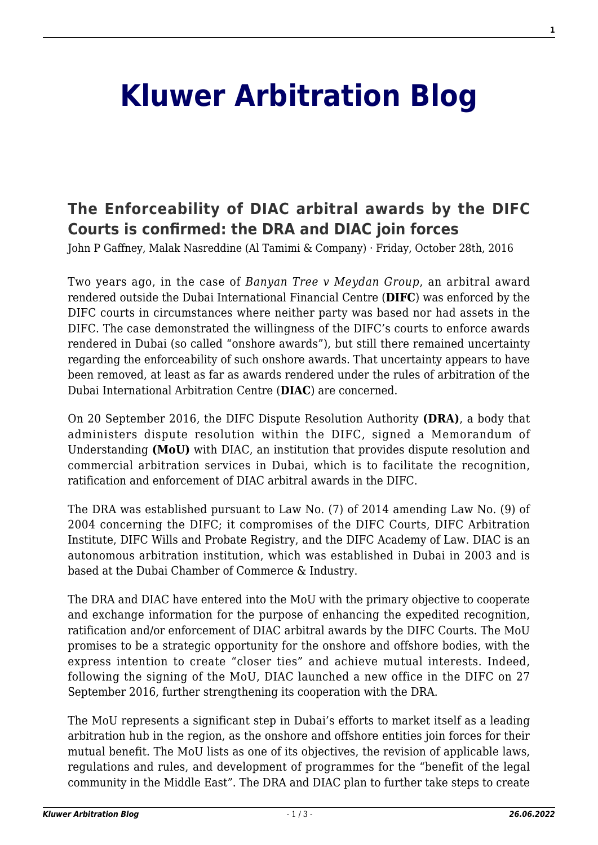## **[Kluwer Arbitration Blog](http://arbitrationblog.kluwerarbitration.com/)**

## **[The Enforceability of DIAC arbitral awards by the DIFC](http://arbitrationblog.kluwerarbitration.com/2016/10/28/enforceability-diac-arbitral-awards-difc-courts-confirmed-dra-diac-join-forces/) [Courts is confirmed: the DRA and DIAC join forces](http://arbitrationblog.kluwerarbitration.com/2016/10/28/enforceability-diac-arbitral-awards-difc-courts-confirmed-dra-diac-join-forces/)**

John P Gaffney, Malak Nasreddine (Al Tamimi & Company) · Friday, October 28th, 2016

Two years ago, in the case of *Banyan Tree v Meydan Group*, an arbitral award rendered outside the Dubai International Financial Centre (**DIFC**) was enforced by the DIFC courts in circumstances where neither party was based nor had assets in the DIFC. The case demonstrated the willingness of the DIFC's courts to enforce awards rendered in Dubai (so called "onshore awards"), but still there remained uncertainty regarding the enforceability of such onshore awards. That uncertainty appears to have been removed, at least as far as awards rendered under the rules of arbitration of the Dubai International Arbitration Centre (**DIAC**) are concerned.

On 20 September 2016, the DIFC Dispute Resolution Authority **(DRA)**, a body that administers dispute resolution within the DIFC, signed a Memorandum of Understanding **(MoU)** with DIAC, an institution that provides dispute resolution and commercial arbitration services in Dubai, which is to facilitate the recognition, ratification and enforcement of DIAC arbitral awards in the DIFC.

The DRA was established pursuant to Law No. (7) of 2014 amending Law No. (9) of 2004 concerning the DIFC; it compromises of the DIFC Courts, DIFC Arbitration Institute, DIFC Wills and Probate Registry, and the DIFC Academy of Law. DIAC is an autonomous arbitration institution, which was established in Dubai in 2003 and is based at the Dubai Chamber of Commerce & Industry.

The DRA and DIAC have entered into the MoU with the primary objective to cooperate and exchange information for the purpose of enhancing the expedited recognition, ratification and/or enforcement of DIAC arbitral awards by the DIFC Courts. The MoU promises to be a strategic opportunity for the onshore and offshore bodies, with the express intention to create "closer ties" and achieve mutual interests. Indeed, following the signing of the MoU, DIAC launched a new office in the DIFC on 27 September 2016, further strengthening its cooperation with the DRA.

The MoU represents a significant step in Dubai's efforts to market itself as a leading arbitration hub in the region, as the onshore and offshore entities join forces for their mutual benefit. The MoU lists as one of its objectives, the revision of applicable laws, regulations and rules, and development of programmes for the "benefit of the legal community in the Middle East". The DRA and DIAC plan to further take steps to create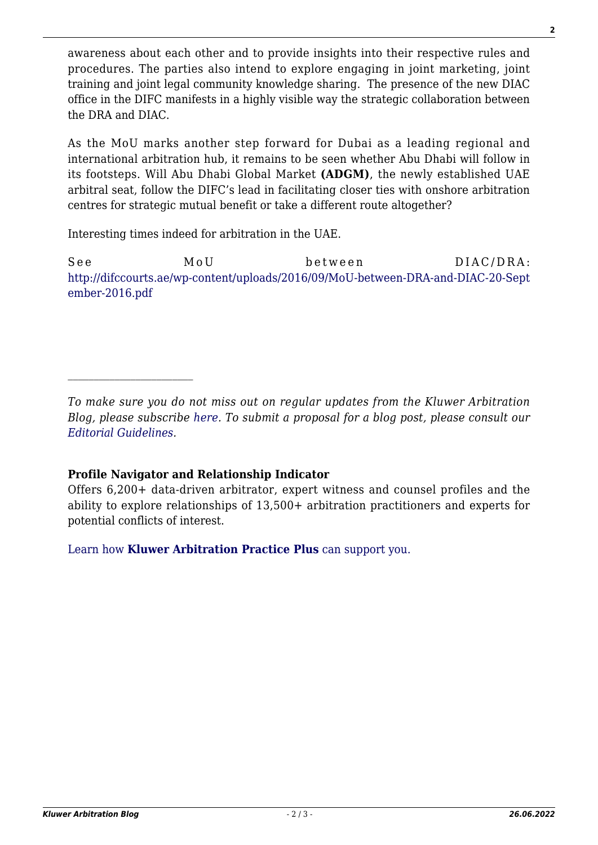awareness about each other and to provide insights into their respective rules and procedures. The parties also intend to explore engaging in joint marketing, joint training and joint legal community knowledge sharing. The presence of the new DIAC office in the DIFC manifests in a highly visible way the strategic collaboration between the DRA and DIAC.

As the MoU marks another step forward for Dubai as a leading regional and international arbitration hub, it remains to be seen whether Abu Dhabi will follow in its footsteps. Will Abu Dhabi Global Market **(ADGM)**, the newly established UAE arbitral seat, follow the DIFC's lead in facilitating closer ties with onshore arbitration centres for strategic mutual benefit or take a different route altogether?

Interesting times indeed for arbitration in the UAE.

See MoU between DIAC/DRA: [http://difccourts.ae/wp-content/uploads/2016/09/MoU-between-DRA-and-DIAC-20-Sept](http://difccourts.ae/wp-content/uploads/2016/09/MoU-between-DRA-and-DIAC-20-September-2016.pdf) [ember-2016.pdf](http://difccourts.ae/wp-content/uploads/2016/09/MoU-between-DRA-and-DIAC-20-September-2016.pdf)

*To make sure you do not miss out on regular updates from the Kluwer Arbitration Blog, please subscribe [here](http://arbitrationblog.kluwerarbitration.com/newsletter/). To submit a proposal for a blog post, please consult our [Editorial Guidelines.](http://arbitrationblog.kluwerarbitration.com/editorial-guidelines/)*

## **Profile Navigator and Relationship Indicator**

Offers 6,200+ data-driven arbitrator, expert witness and counsel profiles and the ability to explore relationships of 13,500+ arbitration practitioners and experts for potential conflicts of interest.

[Learn how](https://www.wolterskluwer.com/en/solutions/kluwerarbitration/practiceplus?utm_source=arbitrationblog&utm_medium=articleCTA&utm_campaign=article-banner) **[Kluwer Arbitration Practice Plus](https://www.wolterskluwer.com/en/solutions/kluwerarbitration/practiceplus?utm_source=arbitrationblog&utm_medium=articleCTA&utm_campaign=article-banner)** [can support you.](https://www.wolterskluwer.com/en/solutions/kluwerarbitration/practiceplus?utm_source=arbitrationblog&utm_medium=articleCTA&utm_campaign=article-banner)